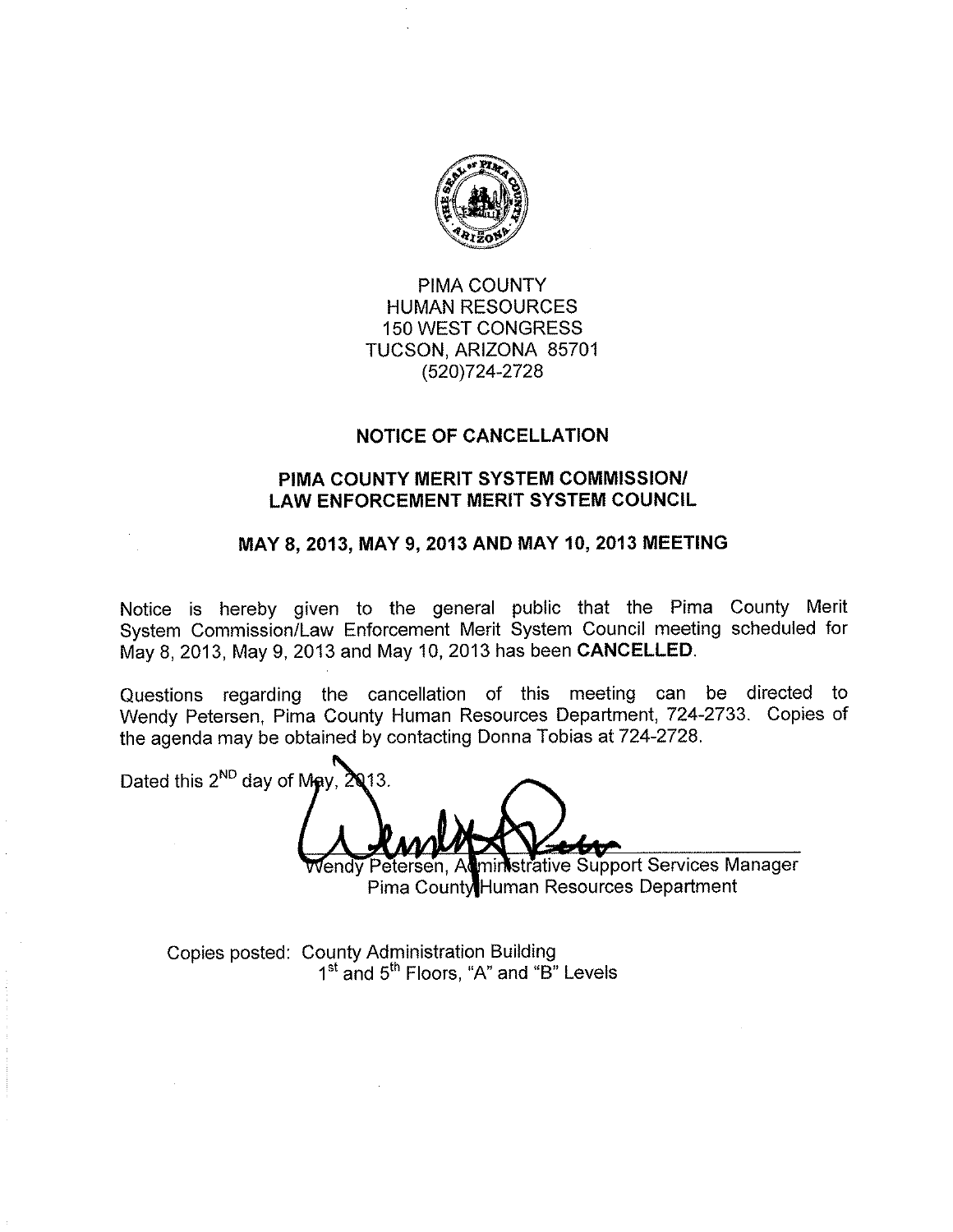

PIMA COUNTY **HUMAN RESOURCES 150 WEST CONGRESS** TUCSON, ARIZONA 85701 (520) 724-2728

## **NOTICE OF CANCELLATION**

## PIMA COUNTY MERIT SYSTEM COMMISSION/ **LAW ENFORCEMENT MERIT SYSTEM COUNCIL**

## MAY 8, 2013, MAY 9, 2013 AND MAY 10, 2013 MEETING

Notice is hereby given to the general public that the Pima County Merit System Commission/Law Enforcement Merit System Council meeting scheduled for May 8, 2013, May 9, 2013 and May 10, 2013 has been CANCELLED.

Questions regarding the cancellation of this meeting can be directed to Wendy Petersen, Pima County Human Resources Department, 724-2733. Copies of the agenda may be obtained by contacting Donna Tobias at 724-2728.

Dated this  $2^{ND}$  day of May,  $2013$ .

ministrative Support Services Manager vend⊽ Petersen. Al Pima County Human Resources Department

Copies posted: County Administration Building 1<sup>st</sup> and 5<sup>th</sup> Floors, "A" and "B" Levels